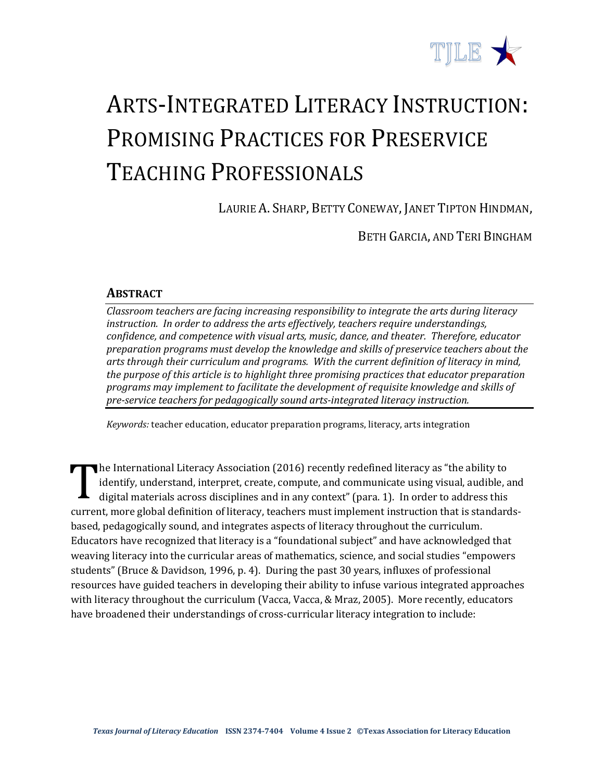

# ARTS-INTEGRATED LITERACY INSTRUCTION: PROMISING PRACTICES FOR PRESERVICE TEACHING PROFESSIONALS

LAURIE A. SHARP, BETTY CONEWAY, JANET TIPTON HINDMAN,

BETH GARCIA, AND TERI BINGHAM

# **ABSTRACT**

*Classroom teachers are facing increasing responsibility to integrate the arts during literacy instruction. In order to address the arts effectively, teachers require understandings, confidence, and competence with visual arts, music, dance, and theater. Therefore, educator preparation programs must develop the knowledge and skills of preservice teachers about the arts through their curriculum and programs. With the current definition of literacy in mind, the purpose of this article is to highlight three promising practices that educator preparation programs may implement to facilitate the development of requisite knowledge and skills of pre-service teachers for pedagogically sound arts-integrated literacy instruction.*

*Keywords:* teacher education, educator preparation programs, literacy, arts integration

he International Literacy Association (2016) recently redefined literacy as "the ability to identify, understand, interpret, create, compute, and communicate using visual, audible, and digital materials across disciplines and in any context" (para. 1). In order to address this identify, understand, interpret, create, compute, and communicate using visual, audible, and digital materials across disciplines and in any context" (para. 1). In order to address this current, more global definition of l based, pedagogically sound, and integrates aspects of literacy throughout the curriculum. Educators have recognized that literacy is a "foundational subject" and have acknowledged that weaving literacy into the curricular areas of mathematics, science, and social studies "empowers students" (Bruce & Davidson, 1996, p. 4). During the past 30 years, influxes of professional resources have guided teachers in developing their ability to infuse various integrated approaches with literacy throughout the curriculum (Vacca, Vacca, & Mraz, 2005). More recently, educators have broadened their understandings of cross-curricular literacy integration to include: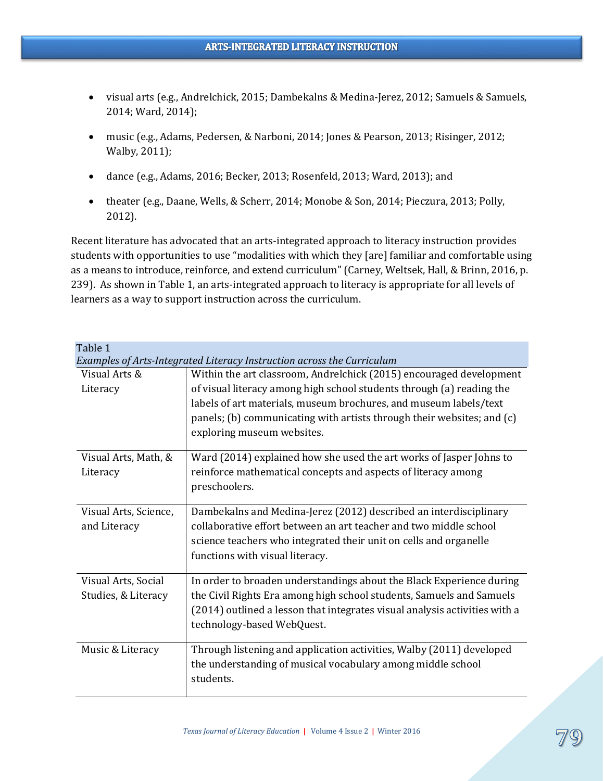- visual arts (e.g., Andrelchick, 2015; Dambekalns & Medina-Jerez, 2012; Samuels & Samuels, 2014; Ward, 2014);
- music (e.g., Adams, Pedersen, & Narboni, 2014; Jones & Pearson, 2013; Risinger, 2012; Walby, 2011);
- dance (e.g., Adams, 2016; Becker, 2013; Rosenfeld, 2013; Ward, 2013); and
- theater (e.g., Daane, Wells, & Scherr, 2014; Monobe & Son, 2014; Pieczura, 2013; Polly, 2012).

Recent literature has advocated that an arts-integrated approach to literacy instruction provides students with opportunities to use "modalities with which they [are] familiar and comfortable using as a means to introduce, reinforce, and extend curriculum" (Carney, Weltsek, Hall, & Brinn, 2016, p. 239). As shown in Table 1, an arts-integrated approach to literacy is appropriate for all levels of learners as a way to support instruction across the curriculum.

| Table 1<br>Examples of Arts-Integrated Literacy Instruction across the Curriculum |                                                                                                                                                                                                                                                                                                                           |  |
|-----------------------------------------------------------------------------------|---------------------------------------------------------------------------------------------------------------------------------------------------------------------------------------------------------------------------------------------------------------------------------------------------------------------------|--|
| Visual Arts &<br>Literacy                                                         | Within the art classroom, Andrelchick (2015) encouraged development<br>of visual literacy among high school students through (a) reading the<br>labels of art materials, museum brochures, and museum labels/text<br>panels; (b) communicating with artists through their websites; and (c)<br>exploring museum websites. |  |
| Visual Arts, Math, &<br>Literacy                                                  | Ward (2014) explained how she used the art works of Jasper Johns to<br>reinforce mathematical concepts and aspects of literacy among<br>preschoolers.                                                                                                                                                                     |  |
| Visual Arts, Science,<br>and Literacy                                             | Dambekalns and Medina-Jerez (2012) described an interdisciplinary<br>collaborative effort between an art teacher and two middle school<br>science teachers who integrated their unit on cells and organelle<br>functions with visual literacy.                                                                            |  |
| Visual Arts, Social<br>Studies, & Literacy                                        | In order to broaden understandings about the Black Experience during<br>the Civil Rights Era among high school students, Samuels and Samuels<br>(2014) outlined a lesson that integrates visual analysis activities with a<br>technology-based WebQuest.                                                                  |  |
| Music & Literacy                                                                  | Through listening and application activities, Walby (2011) developed<br>the understanding of musical vocabulary among middle school<br>students.                                                                                                                                                                          |  |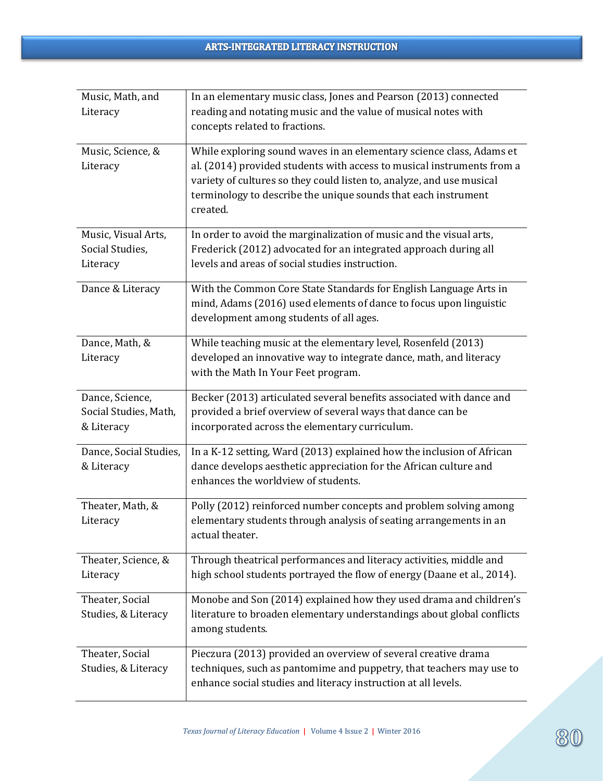| Music, Math, and       | In an elementary music class, Jones and Pearson (2013) connected                                                                        |
|------------------------|-----------------------------------------------------------------------------------------------------------------------------------------|
| Literacy               | reading and notating music and the value of musical notes with                                                                          |
|                        | concepts related to fractions.                                                                                                          |
|                        |                                                                                                                                         |
| Music, Science, &      | While exploring sound waves in an elementary science class, Adams et                                                                    |
| Literacy               | al. (2014) provided students with access to musical instruments from a                                                                  |
|                        | variety of cultures so they could listen to, analyze, and use musical                                                                   |
|                        | terminology to describe the unique sounds that each instrument<br>created.                                                              |
|                        |                                                                                                                                         |
| Music, Visual Arts,    | In order to avoid the marginalization of music and the visual arts,                                                                     |
| Social Studies,        | Frederick (2012) advocated for an integrated approach during all                                                                        |
| Literacy               | levels and areas of social studies instruction.                                                                                         |
| Dance & Literacy       |                                                                                                                                         |
|                        | With the Common Core State Standards for English Language Arts in<br>mind, Adams (2016) used elements of dance to focus upon linguistic |
|                        | development among students of all ages.                                                                                                 |
|                        |                                                                                                                                         |
| Dance, Math, &         | While teaching music at the elementary level, Rosenfeld (2013)                                                                          |
| Literacy               | developed an innovative way to integrate dance, math, and literacy                                                                      |
|                        | with the Math In Your Feet program.                                                                                                     |
| Dance, Science,        | Becker (2013) articulated several benefits associated with dance and                                                                    |
| Social Studies, Math,  | provided a brief overview of several ways that dance can be                                                                             |
| & Literacy             | incorporated across the elementary curriculum.                                                                                          |
|                        |                                                                                                                                         |
| Dance, Social Studies, | In a K-12 setting, Ward (2013) explained how the inclusion of African                                                                   |
| & Literacy             | dance develops aesthetic appreciation for the African culture and                                                                       |
|                        | enhances the worldview of students.                                                                                                     |
| Theater, Math, &       | Polly (2012) reinforced number concepts and problem solving among                                                                       |
| Literacy               | elementary students through analysis of seating arrangements in an                                                                      |
|                        | actual theater.                                                                                                                         |
| Theater, Science, &    | Through theatrical performances and literacy activities, middle and                                                                     |
| Literacy               | high school students portrayed the flow of energy (Daane et al., 2014).                                                                 |
|                        |                                                                                                                                         |
| Theater, Social        | Monobe and Son (2014) explained how they used drama and children's                                                                      |
| Studies, & Literacy    | literature to broaden elementary understandings about global conflicts                                                                  |
|                        | among students.                                                                                                                         |
| Theater, Social        | Pieczura (2013) provided an overview of several creative drama                                                                          |
| Studies, & Literacy    | techniques, such as pantomime and puppetry, that teachers may use to                                                                    |
|                        | enhance social studies and literacy instruction at all levels.                                                                          |
|                        |                                                                                                                                         |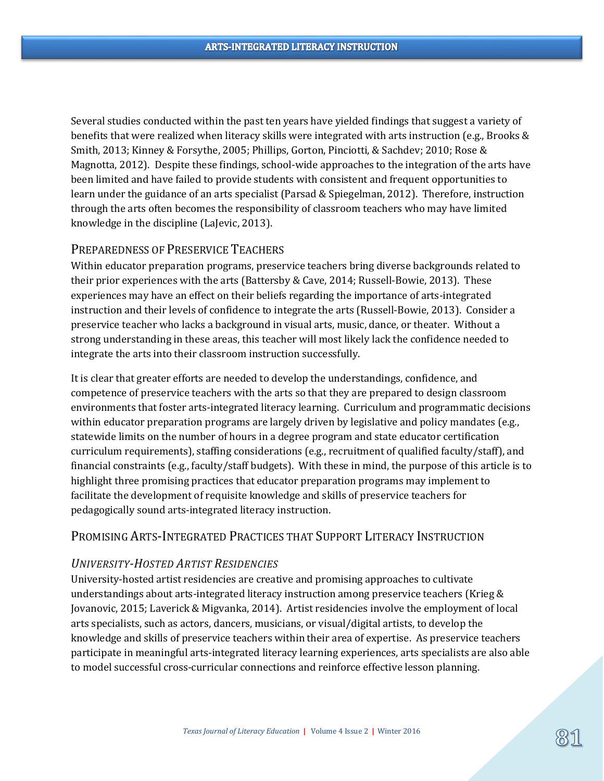Several studies conducted within the past ten years have yielded findings that suggest a variety of benefits that were realized when literacy skills were integrated with arts instruction (e.g., Brooks & Smith, 2013; Kinney & Forsythe, 2005; Phillips, Gorton, Pinciotti, & Sachdev; 2010; Rose & Magnotta, 2012). Despite these findings, school-wide approaches to the integration of the arts have been limited and have failed to provide students with consistent and frequent opportunities to learn under the guidance of an arts specialist (Parsad & Spiegelman, 2012). Therefore, instruction through the arts often becomes the responsibility of classroom teachers who may have limited knowledge in the discipline (LaJevic, 2013).

## PREPAREDNESS OF PRESERVICE TEACHERS

Within educator preparation programs, preservice teachers bring diverse backgrounds related to their prior experiences with the arts (Battersby & Cave, 2014; Russell-Bowie, 2013). These experiences may have an effect on their beliefs regarding the importance of arts-integrated instruction and their levels of confidence to integrate the arts (Russell-Bowie, 2013). Consider a preservice teacher who lacks a background in visual arts, music, dance, or theater. Without a strong understanding in these areas, this teacher will most likely lack the confidence needed to integrate the arts into their classroom instruction successfully.

It is clear that greater efforts are needed to develop the understandings, confidence, and competence of preservice teachers with the arts so that they are prepared to design classroom environments that foster arts-integrated literacy learning. Curriculum and programmatic decisions within educator preparation programs are largely driven by legislative and policy mandates (e.g., statewide limits on the number of hours in a degree program and state educator certification curriculum requirements), staffing considerations (e.g., recruitment of qualified faculty/staff), and financial constraints (e.g., faculty/staff budgets). With these in mind, the purpose of this article is to highlight three promising practices that educator preparation programs may implement to facilitate the development of requisite knowledge and skills of preservice teachers for pedagogically sound arts-integrated literacy instruction.

# PROMISING ARTS-INTEGRATED PRACTICES THAT SUPPORT LITERACY INSTRUCTION

## *UNIVERSITY-HOSTED ARTIST RESIDENCIES*

University-hosted artist residencies are creative and promising approaches to cultivate understandings about arts-integrated literacy instruction among preservice teachers (Krieg & Jovanovic, 2015; Laverick & Migvanka, 2014). Artist residencies involve the employment of local arts specialists, such as actors, dancers, musicians, or visual/digital artists, to develop the knowledge and skills of preservice teachers within their area of expertise. As preservice teachers participate in meaningful arts-integrated literacy learning experiences, arts specialists are also able to model successful cross-curricular connections and reinforce effective lesson planning.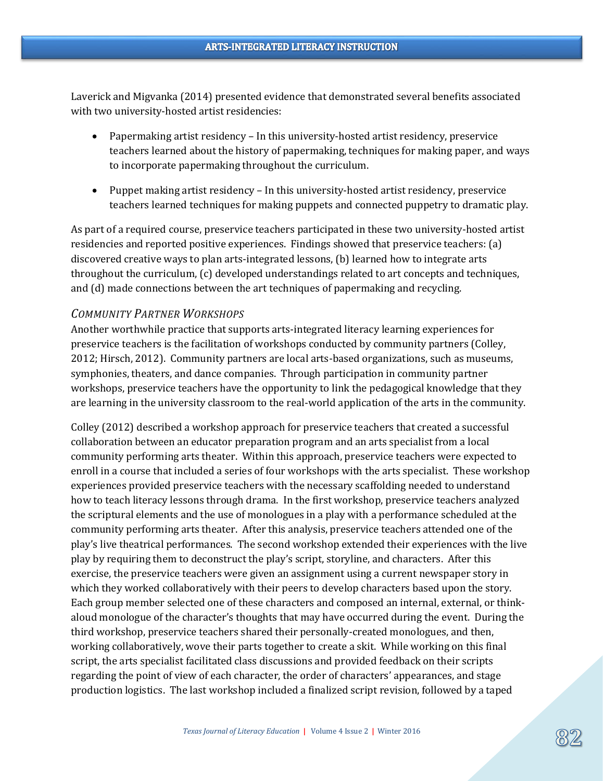Laverick and Migvanka (2014) presented evidence that demonstrated several benefits associated with two university-hosted artist residencies:

- Papermaking artist residency In this university-hosted artist residency, preservice teachers learned about the history of papermaking, techniques for making paper, and ways to incorporate papermaking throughout the curriculum.
- Puppet making artist residency In this university-hosted artist residency, preservice teachers learned techniques for making puppets and connected puppetry to dramatic play.

As part of a required course, preservice teachers participated in these two university-hosted artist residencies and reported positive experiences. Findings showed that preservice teachers: (a) discovered creative ways to plan arts-integrated lessons, (b) learned how to integrate arts throughout the curriculum, (c) developed understandings related to art concepts and techniques, and (d) made connections between the art techniques of papermaking and recycling.

## *COMMUNITY PARTNER WORKSHOPS*

Another worthwhile practice that supports arts-integrated literacy learning experiences for preservice teachers is the facilitation of workshops conducted by community partners (Colley, 2012; Hirsch, 2012). Community partners are local arts-based organizations, such as museums, symphonies, theaters, and dance companies. Through participation in community partner workshops, preservice teachers have the opportunity to link the pedagogical knowledge that they are learning in the university classroom to the real-world application of the arts in the community.

Colley (2012) described a workshop approach for preservice teachers that created a successful collaboration between an educator preparation program and an arts specialist from a local community performing arts theater. Within this approach, preservice teachers were expected to enroll in a course that included a series of four workshops with the arts specialist. These workshop experiences provided preservice teachers with the necessary scaffolding needed to understand how to teach literacy lessons through drama. In the first workshop, preservice teachers analyzed the scriptural elements and the use of monologues in a play with a performance scheduled at the community performing arts theater. After this analysis, preservice teachers attended one of the play's live theatrical performances. The second workshop extended their experiences with the live play by requiring them to deconstruct the play's script, storyline, and characters. After this exercise, the preservice teachers were given an assignment using a current newspaper story in which they worked collaboratively with their peers to develop characters based upon the story. Each group member selected one of these characters and composed an internal, external, or thinkaloud monologue of the character's thoughts that may have occurred during the event. During the third workshop, preservice teachers shared their personally-created monologues, and then, working collaboratively, wove their parts together to create a skit. While working on this final script, the arts specialist facilitated class discussions and provided feedback on their scripts regarding the point of view of each character, the order of characters' appearances, and stage production logistics. The last workshop included a finalized script revision, followed by a taped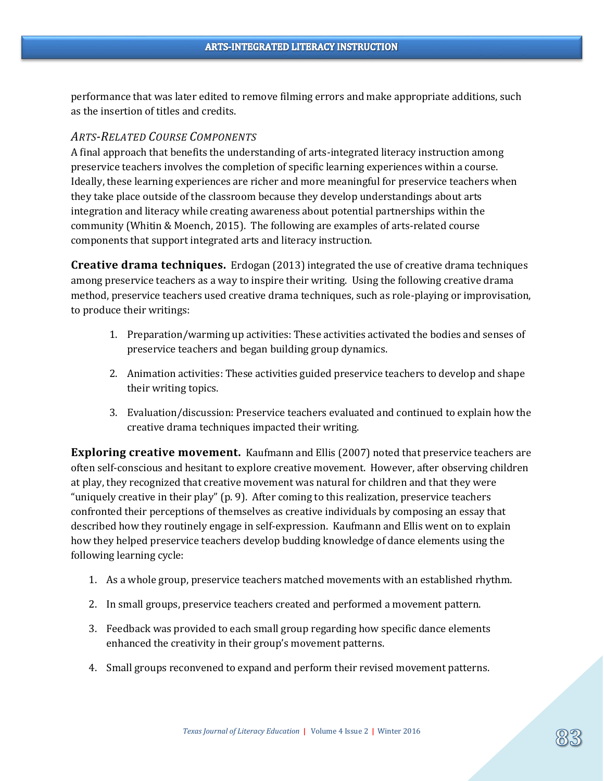performance that was later edited to remove filming errors and make appropriate additions, such as the insertion of titles and credits.

## *ARTS-RELATED COURSE COMPONENTS*

A final approach that benefits the understanding of arts-integrated literacy instruction among preservice teachers involves the completion of specific learning experiences within a course. Ideally, these learning experiences are richer and more meaningful for preservice teachers when they take place outside of the classroom because they develop understandings about arts integration and literacy while creating awareness about potential partnerships within the community (Whitin & Moench, 2015). The following are examples of arts-related course components that support integrated arts and literacy instruction.

**Creative drama techniques.** Erdogan (2013) integrated the use of creative drama techniques among preservice teachers as a way to inspire their writing. Using the following creative drama method, preservice teachers used creative drama techniques, such as role-playing or improvisation, to produce their writings:

- 1. Preparation/warming up activities: These activities activated the bodies and senses of preservice teachers and began building group dynamics.
- 2. Animation activities: These activities guided preservice teachers to develop and shape their writing topics.
- 3. Evaluation/discussion: Preservice teachers evaluated and continued to explain how the creative drama techniques impacted their writing.

**Exploring creative movement.** Kaufmann and Ellis (2007) noted that preservice teachers are often self-conscious and hesitant to explore creative movement. However, after observing children at play, they recognized that creative movement was natural for children and that they were "uniquely creative in their play" (p. 9). After coming to this realization, preservice teachers confronted their perceptions of themselves as creative individuals by composing an essay that described how they routinely engage in self-expression. Kaufmann and Ellis went on to explain how they helped preservice teachers develop budding knowledge of dance elements using the following learning cycle:

- 1. As a whole group, preservice teachers matched movements with an established rhythm.
- 2. In small groups, preservice teachers created and performed a movement pattern.
- 3. Feedback was provided to each small group regarding how specific dance elements enhanced the creativity in their group's movement patterns.
- 4. Small groups reconvened to expand and perform their revised movement patterns.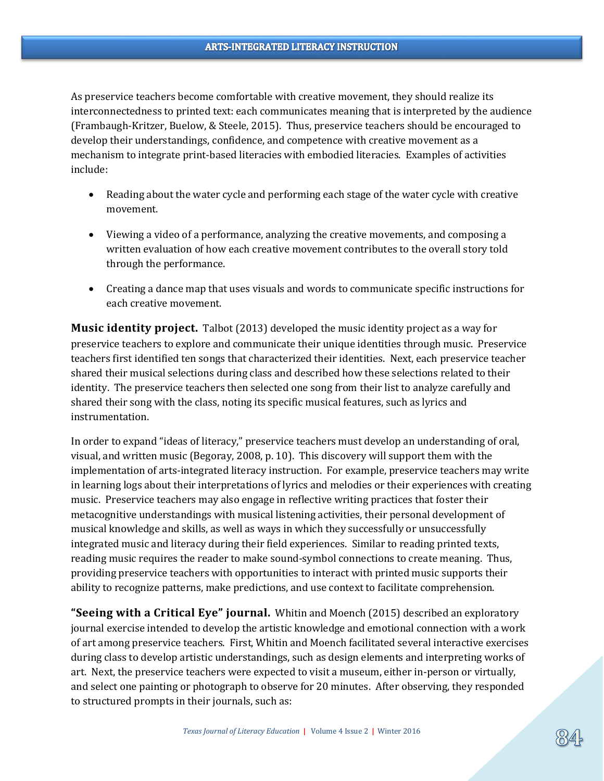As preservice teachers become comfortable with creative movement, they should realize its interconnectedness to printed text: each communicates meaning that is interpreted by the audience (Frambaugh-Kritzer, Buelow, & Steele, 2015). Thus, preservice teachers should be encouraged to develop their understandings, confidence, and competence with creative movement as a mechanism to integrate print-based literacies with embodied literacies. Examples of activities include:

- Reading about the water cycle and performing each stage of the water cycle with creative movement.
- Viewing a video of a performance, analyzing the creative movements, and composing a written evaluation of how each creative movement contributes to the overall story told through the performance.
- Creating a dance map that uses visuals and words to communicate specific instructions for each creative movement.

**Music identity project.** Talbot (2013) developed the music identity project as a way for preservice teachers to explore and communicate their unique identities through music. Preservice teachers first identified ten songs that characterized their identities. Next, each preservice teacher shared their musical selections during class and described how these selections related to their identity. The preservice teachers then selected one song from their list to analyze carefully and shared their song with the class, noting its specific musical features, such as lyrics and instrumentation.

In order to expand "ideas of literacy," preservice teachers must develop an understanding of oral, visual, and written music (Begoray, 2008, p. 10). This discovery will support them with the implementation of arts-integrated literacy instruction. For example, preservice teachers may write in learning logs about their interpretations of lyrics and melodies or their experiences with creating music. Preservice teachers may also engage in reflective writing practices that foster their metacognitive understandings with musical listening activities, their personal development of musical knowledge and skills, as well as ways in which they successfully or unsuccessfully integrated music and literacy during their field experiences. Similar to reading printed texts, reading music requires the reader to make sound-symbol connections to create meaning. Thus, providing preservice teachers with opportunities to interact with printed music supports their ability to recognize patterns, make predictions, and use context to facilitate comprehension.

**"Seeing with a Critical Eye" journal.** Whitin and Moench (2015) described an exploratory journal exercise intended to develop the artistic knowledge and emotional connection with a work of art among preservice teachers. First, Whitin and Moench facilitated several interactive exercises during class to develop artistic understandings, such as design elements and interpreting works of art. Next, the preservice teachers were expected to visit a museum, either in-person or virtually, and select one painting or photograph to observe for 20 minutes. After observing, they responded to structured prompts in their journals, such as: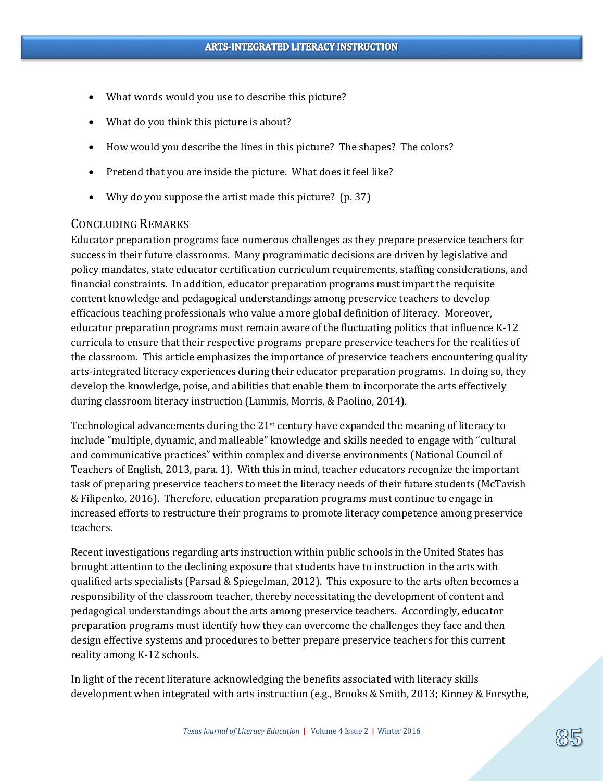- What words would you use to describe this picture?
- What do you think this picture is about?
- How would you describe the lines in this picture? The shapes? The colors?
- Pretend that you are inside the picture. What does it feel like?
- Why do you suppose the artist made this picture? (p. 37)

# CONCLUDING REMARKS

Educator preparation programs face numerous challenges as they prepare preservice teachers for success in their future classrooms. Many programmatic decisions are driven by legislative and policy mandates, state educator certification curriculum requirements, staffing considerations, and financial constraints. In addition, educator preparation programs must impart the requisite content knowledge and pedagogical understandings among preservice teachers to develop efficacious teaching professionals who value a more global definition of literacy. Moreover, educator preparation programs must remain aware of the fluctuating politics that influence K-12 curricula to ensure that their respective programs prepare preservice teachers for the realities of the classroom. This article emphasizes the importance of preservice teachers encountering quality arts-integrated literacy experiences during their educator preparation programs. In doing so, they develop the knowledge, poise, and abilities that enable them to incorporate the arts effectively during classroom literacy instruction (Lummis, Morris, & Paolino, 2014).

Technological advancements during the  $21st$  century have expanded the meaning of literacy to include "multiple, dynamic, and malleable" knowledge and skills needed to engage with "cultural and communicative practices" within complex and diverse environments (National Council of Teachers of English, 2013, para. 1). With this in mind, teacher educators recognize the important task of preparing preservice teachers to meet the literacy needs of their future students (McTavish & Filipenko, 2016). Therefore, education preparation programs must continue to engage in increased efforts to restructure their programs to promote literacy competence among preservice teachers.

Recent investigations regarding arts instruction within public schools in the United States has brought attention to the declining exposure that students have to instruction in the arts with qualified arts specialists (Parsad & Spiegelman, 2012). This exposure to the arts often becomes a responsibility of the classroom teacher, thereby necessitating the development of content and pedagogical understandings about the arts among preservice teachers. Accordingly, educator preparation programs must identify how they can overcome the challenges they face and then design effective systems and procedures to better prepare preservice teachers for this current reality among K-12 schools.

In light of the recent literature acknowledging the benefits associated with literacy skills development when integrated with arts instruction (e.g., Brooks & Smith, 2013; Kinney & Forsythe,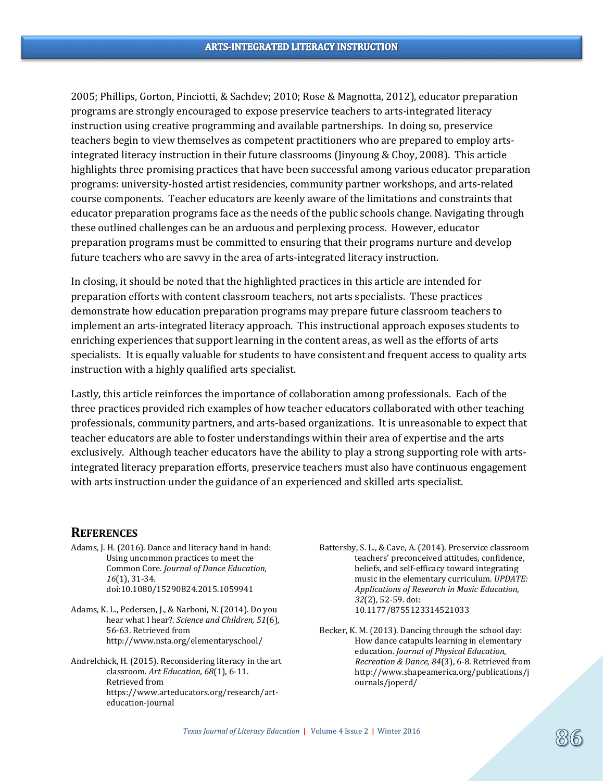2005; Phillips, Gorton, Pinciotti, & Sachdev; 2010; Rose & Magnotta, 2012), educator preparation programs are strongly encouraged to expose preservice teachers to arts-integrated literacy instruction using creative programming and available partnerships. In doing so, preservice teachers begin to view themselves as competent practitioners who are prepared to employ artsintegrated literacy instruction in their future classrooms (Jinyoung & Choy, 2008). This article highlights three promising practices that have been successful among various educator preparation programs: university-hosted artist residencies, community partner workshops, and arts-related course components. Teacher educators are keenly aware of the limitations and constraints that educator preparation programs face as the needs of the public schools change. Navigating through these outlined challenges can be an arduous and perplexing process. However, educator preparation programs must be committed to ensuring that their programs nurture and develop future teachers who are savvy in the area of arts-integrated literacy instruction.

In closing, it should be noted that the highlighted practices in this article are intended for preparation efforts with content classroom teachers, not arts specialists. These practices demonstrate how education preparation programs may prepare future classroom teachers to implement an arts-integrated literacy approach. This instructional approach exposes students to enriching experiences that support learning in the content areas, as well as the efforts of arts specialists. It is equally valuable for students to have consistent and frequent access to quality arts instruction with a highly qualified arts specialist.

Lastly, this article reinforces the importance of collaboration among professionals. Each of the three practices provided rich examples of how teacher educators collaborated with other teaching professionals, community partners, and arts-based organizations. It is unreasonable to expect that teacher educators are able to foster understandings within their area of expertise and the arts exclusively. Although teacher educators have the ability to play a strong supporting role with artsintegrated literacy preparation efforts, preservice teachers must also have continuous engagement with arts instruction under the guidance of an experienced and skilled arts specialist.

#### **REFERENCES**

- Adams, J. H. (2016). Dance and literacy hand in hand: Using uncommon practices to meet the Common Core. *Journal of Dance Education, 16*(1), 31-34. doi:10.1080/15290824.2015.1059941
- Adams, K. L., Pedersen, J., & Narboni, N. (2014). Do you hear what I hear?. *Science and Children, 51*(6), 56-63. Retrieved from http://www.nsta.org/elementaryschool/
- Andrelchick, H. (2015). Reconsidering literacy in the art classroom. *Art Education, 68*(1), 6-11. Retrieved from https://www.arteducators.org/research/arteducation-journal
- Battersby, S. L., & Cave, A. (2014). Preservice classroom teachers' preconceived attitudes, confidence, beliefs, and self-efficacy toward integrating music in the elementary curriculum. *UPDATE: Applications of Research in Music Education, 32*(2), 52-59. doi: 10.1177/8755123314521033
- Becker, K. M. (2013). Dancing through the school day: How dance catapults learning in elementary education. *Journal of Physical Education, Recreation & Dance, 84*(3), 6-8. Retrieved from http://www.shapeamerica.org/publications/j ournals/joperd/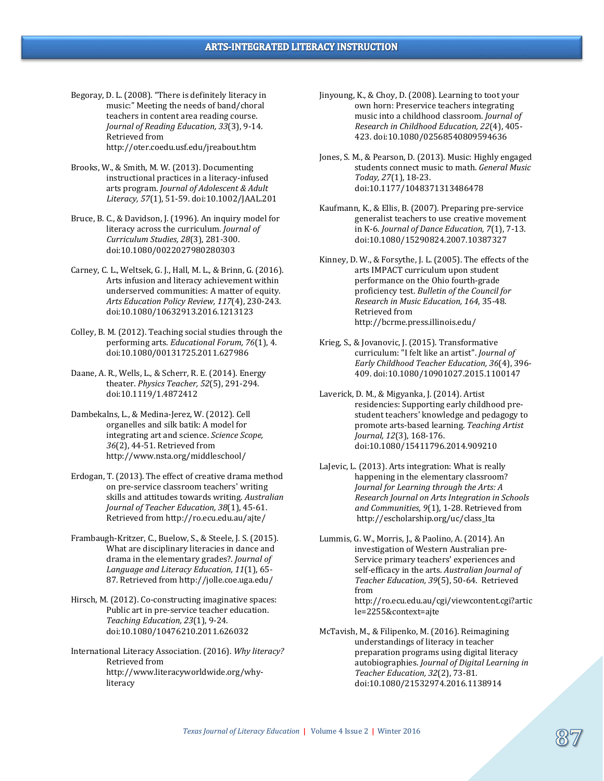- Begoray, D. L. (2008). "There is definitely literacy in music:" Meeting the needs of band/choral teachers in content area reading course. *Journal of Reading Education, 33*(3), 9-14. Retrieved from http://oter.coedu.usf.edu/jreabout.htm
- Brooks, W., & Smith, M. W. (2013). Documenting instructional practices in a literacy-infused arts program. *Journal of Adolescent & Adult Literacy, 57*(1), 51-59. doi:10.1002/JAAL.201
- Bruce, B. C., & Davidson, J. (1996). An inquiry model for literacy across the curriculum. *Journal of Curriculum Studies, 28*(3), 281-300. doi:10.1080/0022027980280303
- Carney, C. L., Weltsek, G. J., Hall, M. L., & Brinn, G. (2016). Arts infusion and literacy achievement within underserved communities: A matter of equity. *Arts Education Policy Review, 117*(4), 230-243. doi:10.1080/10632913.2016.1213123
- Colley, B. M. (2012). Teaching social studies through the performing arts. *Educational Forum, 76*(1), 4. doi:10.1080/00131725.2011.627986
- Daane, A. R., Wells, L., & Scherr, R. E. (2014). Energy theater. *Physics Teacher, 52*(5), 291-294. doi:10.1119/1.4872412
- Dambekalns, L., & Medina-Jerez, W. (2012). Cell organelles and silk batik: A model for integrating art and science. *Science Scope, 36*(2), 44-51. Retrieved from http://www.nsta.org/middleschool/
- Erdogan, T. (2013). The effect of creative drama method on pre-service classroom teachers' writing skills and attitudes towards writing. *Australian Journal of Teacher Education, 38*(1), 45-61. Retrieved from http://ro.ecu.edu.au/ajte/
- Frambaugh-Kritzer, C., Buelow, S., & Steele, J. S. (2015). What are disciplinary literacies in dance and drama in the elementary grades?. *Journal of Language and Literacy Education, 11*(1), 65- 87. Retrieved from http://jolle.coe.uga.edu/
- Hirsch, M. (2012). Co-constructing imaginative spaces: Public art in pre-service teacher education. *Teaching Education, 23*(1), 9-24. doi:10.1080/10476210.2011.626032
- International Literacy Association. (2016). *Why literacy?* Retrieved from http://www.literacyworldwide.org/whyliteracy
- Jinyoung, K., & Choy, D. (2008). Learning to toot your own horn: Preservice teachers integrating music into a childhood classroom. *Journal of Research in Childhood Education, 22*(4), 405- 423. doi:10.1080/02568540809594636
- Jones, S. M., & Pearson, D. (2013). Music: Highly engaged students connect music to math. *General Music Today, 27*(1), 18-23. doi:10.1177/1048371313486478
- Kaufmann, K., & Ellis, B. (2007). Preparing pre-service generalist teachers to use creative movement in K-6. *Journal of Dance Education, 7*(1), 7-13. doi:10.1080/15290824.2007.10387327
- Kinney, D. W., & Forsythe, J. L. (2005). The effects of the arts IMPACT curriculum upon student performance on the Ohio fourth-grade proficiency test. *Bulletin of the Council for Research in Music Education, 164*, 35-48. Retrieved from http://bcrme.press.illinois.edu/
- Krieg, S., & Jovanovic, J. (2015). Transformative curriculum: "I felt like an artist". *Journal of Early Childhood Teacher Education, 36*(4), 396- 409. doi:10.1080/10901027.2015.1100147
- Laverick, D. M., & Migyanka, J. (2014). Artist residencies: Supporting early childhood prestudent teachers' knowledge and pedagogy to promote arts-based learning. *Teaching Artist Journal, 12*(3), 168-176. doi:10.1080/15411796.2014.909210
- LaJevic, L. (2013). Arts integration: What is really happening in the elementary classroom? *Journal for Learning through the Arts: A Research Journal on Arts Integration in Schools and Communities, 9*(1), 1-28. Retrieved from http://escholarship.org/uc/class\_lta
- Lummis, G. W., Morris, J., & Paolino, A. (2014). An investigation of Western Australian pre-Service primary teachers' experiences and self-efficacy in the arts. *Australian Journal of Teacher Education, 39*(5), 50-64. Retrieved from http://ro.ecu.edu.au/cgi/viewcontent.cgi?artic le=2255&context=ajte
- McTavish, M., & Filipenko, M. (2016). Reimagining understandings of literacy in teacher preparation programs using digital literacy autobiographies. *Journal of Digital Learning in Teacher Education, 32*(2), 73-81. doi:10.1080/21532974.2016.1138914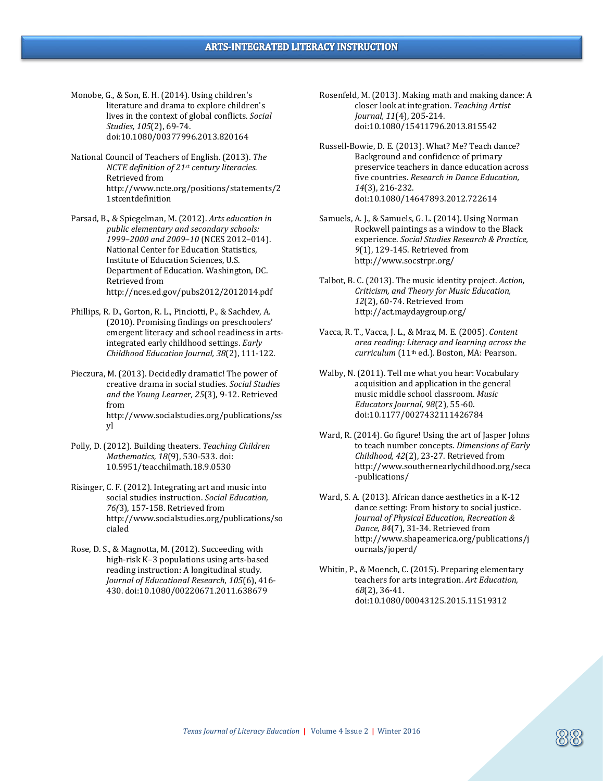- Monobe, G., & Son, E. H. (2014). Using children's literature and drama to explore children's lives in the context of global conflicts. *Social Studies, 105*(2), 69-74. doi:10.1080/00377996.2013.820164
- National Council of Teachers of English. (2013). *The NCTE definition of 21st century literacies.*  Retrieved from http://www.ncte.org/positions/statements/2 1stcentdefinition
- Parsad, B., & Spiegelman, M. (2012). *Arts education in public elementary and secondary schools: 1999–2000 and 2009–10* (NCES 2012–014). National Center for Education Statistics, Institute of Education Sciences, U.S. Department of Education. Washington, DC. Retrieved from http://nces.ed.gov/pubs2012/2012014.pdf
- Phillips, R. D., Gorton, R. L., Pinciotti, P., & Sachdev, A. (2010). Promising findings on preschoolers' emergent literacy and school readiness in artsintegrated early childhood settings. *Early Childhood Education Journal, 38*(2), 111-122.
- Pieczura, M. (2013). Decidedly dramatic! The power of creative drama in social studies. *Social Studies and the Young Learner, 25*(3), 9-12. Retrieved from http://www.socialstudies.org/publications/ss yl
- Polly, D. (2012). Building theaters. *Teaching Children Mathematics, 18*(9), 530-533. doi: 10.5951/teacchilmath.18.9.0530
- Risinger, C. F. (2012). Integrating art and music into social studies instruction. *Social Education, 76(*3), 157-158. Retrieved from http://www.socialstudies.org/publications/so cialed
- Rose, D. S., & Magnotta, M. (2012). Succeeding with high-risk K–3 populations using arts-based reading instruction: A longitudinal study. *Journal of Educational Research, 105*(6), 416- 430. doi:10.1080/00220671.2011.638679
- Rosenfeld, M. (2013). Making math and making dance: A closer look at integration. *Teaching Artist Journal, 11*(4), 205-214. doi:10.1080/15411796.2013.815542
- Russell-Bowie, D. E. (2013). What? Me? Teach dance? Background and confidence of primary preservice teachers in dance education across five countries. *Research in Dance Education, 14*(3), 216-232. doi:10.1080/14647893.2012.722614
- Samuels, A. J., & Samuels, G. L. (2014). Using Norman Rockwell paintings as a window to the Black experience. *Social Studies Research & Practice, 9*(1), 129-145. Retrieved from http://www.socstrpr.org/
- Talbot, B. C. (2013). The music identity project. *Action, Criticism, and Theory for Music Education, 12*(2), 60-74. Retrieved from http://act.maydaygroup.org/
- Vacca, R. T., Vacca, J. L., & Mraz, M. E. (2005). *Content area reading: Literacy and learning across the curriculum* (11th ed.). Boston, MA: Pearson.
- Walby, N. (2011). Tell me what you hear: Vocabulary acquisition and application in the general music middle school classroom. *Music Educators Journal, 98*(2), 55-60. doi:10.1177/0027432111426784
- Ward, R. (2014). Go figure! Using the art of Jasper Johns to teach number concepts. *Dimensions of Early Childhood, 42*(2), 23-27. Retrieved from http://www.southernearlychildhood.org/seca -publications/
- Ward, S. A. (2013). African dance aesthetics in a K-12 dance setting: From history to social justice. *Journal of Physical Education, Recreation & Dance, 84*(7), 31-34. Retrieved from http://www.shapeamerica.org/publications/j ournals/joperd/
- Whitin, P., & Moench, C. (2015). Preparing elementary teachers for arts integration. *Art Education, 68*(2), 36-41. doi:10.1080/00043125.2015.11519312